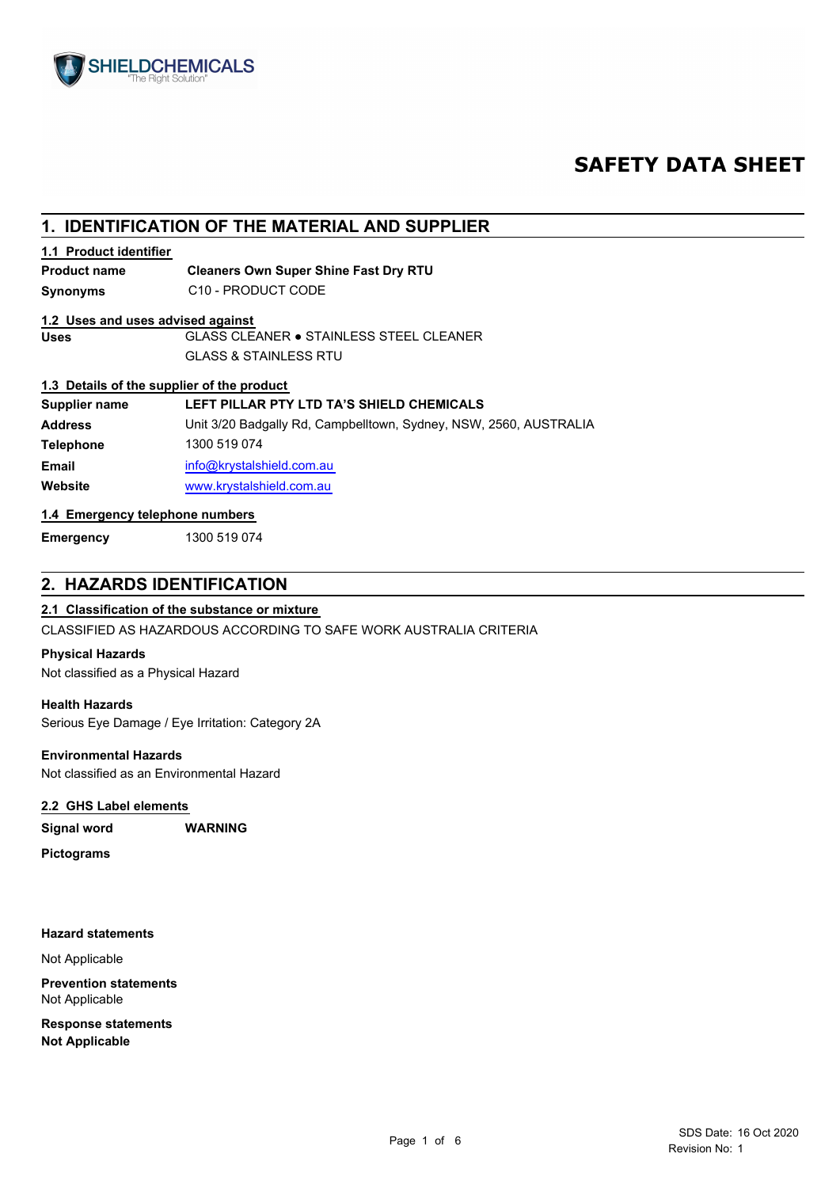

# **SAFETY DATA SHEET**

## **1. IDENTIFICATION OF THE MATERIAL AND SUPPLIER**

## **1.1 Product identifier**

#### **Cleaners Own Super Shine Fast Dry RTU Product name**

**Synonyms** C10 - PRODUCT CODE

## **1.2 Uses and uses advised against**

**Uses** GLASS CLEANER ● STAINLESS STEEL CLEANER GLASS & STAINLESS RTU

## **1.3 Details of the supplier of the product**

| Supplier name    | LEFT PILLAR PTY LTD TA'S SHIELD CHEMICALS                         |
|------------------|-------------------------------------------------------------------|
| <b>Address</b>   | Unit 3/20 Badgally Rd, Campbelltown, Sydney, NSW, 2560, AUSTRALIA |
| <b>Telephone</b> | 1300 519 074                                                      |
| <b>Email</b>     | info@krystalshield.com.au                                         |
| Website          | www.krystalshield.com.au                                          |
|                  |                                                                   |

## **1.4 Emergency telephone numbers**

**Emergency** 1300 519 074

## **2. HAZARDS IDENTIFICATION**

## **2.1 Classification of the substance or mixture**

CLASSIFIED AS HAZARDOUS ACCORDING TO SAFE WORK AUSTRALIA CRITERIA

## **Physical Hazards**

Not classified as a Physical Hazard

## **Health Hazards**

Serious Eye Damage / Eye Irritation: Category 2A

## **Environmental Hazards**

Not classified as an Environmental Hazard

## **2.2 GHS Label elements**

**Signal word WARNING**

**Pictograms**

## **Hazard statements**

Not Applicable

**Prevention statements** Not Applicable

**Response statements Not Applicable**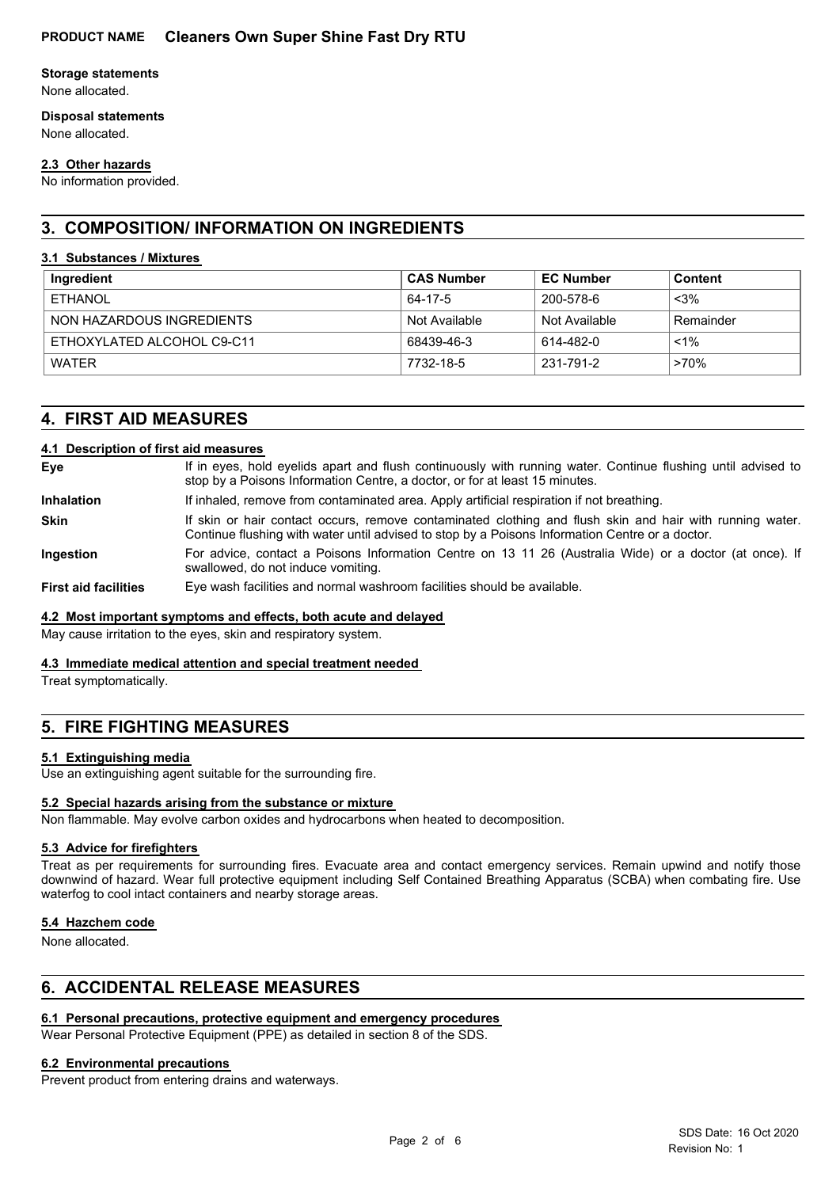## **Storage statements**

None allocated.

## **Disposal statements**

None allocated.

## **2.3 Other hazards**

No information provided.

## **3. COMPOSITION/ INFORMATION ON INGREDIENTS**

## **3.1 Substances / Mixtures**

| Ingredient                 | <b>CAS Number</b> | <b>EC Number</b> | Content   |
|----------------------------|-------------------|------------------|-----------|
| <b>ETHANOL</b>             | 64-17-5           | 200-578-6        | $<$ 3%    |
| NON HAZARDOUS INGREDIENTS  | Not Available     | Not Available    | Remainder |
| ETHOXYLATED ALCOHOL C9-C11 | 68439-46-3        | 614-482-0        | $< 1\%$   |
| <b>WATFR</b>               | 7732-18-5         | 231-791-2        | >70%      |

## **4. FIRST AID MEASURES**

## **4.1 Description of first aid measures**

| Eye                         | If in eyes, hold eyelids apart and flush continuously with running water. Continue flushing until advised to<br>stop by a Poisons Information Centre, a doctor, or for at least 15 minutes.                 |
|-----------------------------|-------------------------------------------------------------------------------------------------------------------------------------------------------------------------------------------------------------|
| <b>Inhalation</b>           | If inhaled, remove from contaminated area. Apply artificial respiration if not breathing.                                                                                                                   |
| <b>Skin</b>                 | If skin or hair contact occurs, remove contaminated clothing and flush skin and hair with running water.<br>Continue flushing with water until advised to stop by a Poisons Information Centre or a doctor. |
| <b>Ingestion</b>            | For advice, contact a Poisons Information Centre on 13 11 26 (Australia Wide) or a doctor (at once). If<br>swallowed, do not induce vomiting.                                                               |
| <b>First aid facilities</b> | Eye wash facilities and normal washroom facilities should be available.                                                                                                                                     |

## **4.2 Most important symptoms and effects, both acute and delayed**

May cause irritation to the eyes, skin and respiratory system.

## **4.3 Immediate medical attention and special treatment needed**

Treat symptomatically.

## **5. FIRE FIGHTING MEASURES**

## **5.1 Extinguishing media**

Use an extinguishing agent suitable for the surrounding fire.

## **5.2 Special hazards arising from the substance or mixture**

Non flammable. May evolve carbon oxides and hydrocarbons when heated to decomposition.

## **5.3 Advice for firefighters**

Treat as per requirements for surrounding fires. Evacuate area and contact emergency services. Remain upwind and notify those downwind of hazard. Wear full protective equipment including Self Contained Breathing Apparatus (SCBA) when combating fire. Use waterfog to cool intact containers and nearby storage areas.

## **5.4 Hazchem code**

None allocated.

## **6. ACCIDENTAL RELEASE MEASURES**

## **6.1 Personal precautions, protective equipment and emergency procedures**

Wear Personal Protective Equipment (PPE) as detailed in section 8 of the SDS.

## **6.2 Environmental precautions**

Prevent product from entering drains and waterways.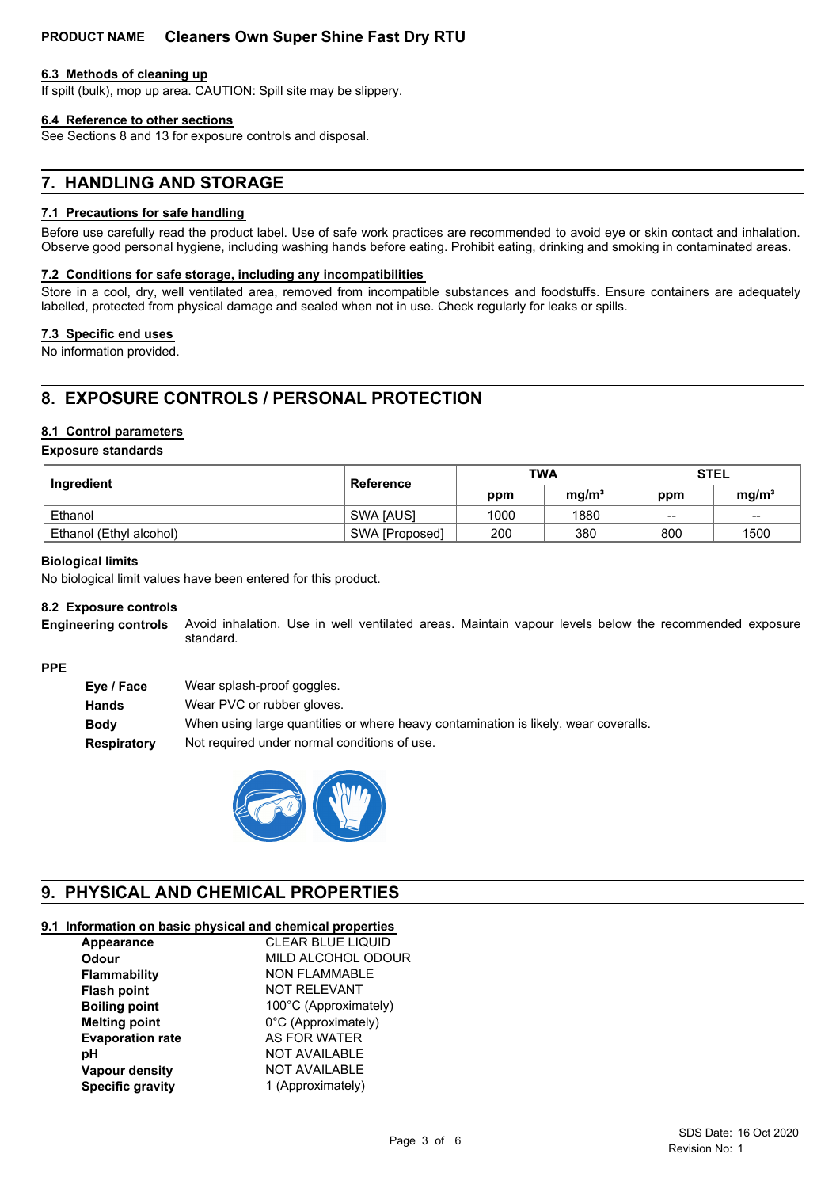## **PRODUCT NAME Cleaners Own Super Shine Fast Dry RTU**

### **6.3 Methods of cleaning up**

If spilt (bulk), mop up area. CAUTION: Spill site may be slippery.

### **6.4 Reference to other sections**

See Sections 8 and 13 for exposure controls and disposal.

## **7. HANDLING AND STORAGE**

### **7.1 Precautions for safe handling**

Before use carefully read the product label. Use of safe work practices are recommended to avoid eye or skin contact and inhalation. Observe good personal hygiene, including washing hands before eating. Prohibit eating, drinking and smoking in contaminated areas.

#### **7.2 Conditions for safe storage, including any incompatibilities**

Store in a cool, dry, well ventilated area, removed from incompatible substances and foodstuffs. Ensure containers are adequately labelled, protected from physical damage and sealed when not in use. Check regularly for leaks or spills.

### **7.3 Specific end uses**

No information provided.

## **8. EXPOSURE CONTROLS / PERSONAL PROTECTION**

### **8.1 Control parameters**

#### **Exposure standards**

| Ingredient              | <b>Reference</b> | <b>TWA</b> |                   | <b>STEL</b> |                   |
|-------------------------|------------------|------------|-------------------|-------------|-------------------|
|                         |                  | ppm        | mg/m <sup>3</sup> | ppm         | mg/m <sup>3</sup> |
| Ethanol                 | <b>SWA JAUSI</b> | 1000       | 1880              | $\sim$      | $\sim$            |
| Ethanol (Ethyl alcohol) | SWA [Proposed]   | 200        | 380               | 800         | 1500              |

#### **Biological limits**

No biological limit values have been entered for this product.

#### **8.2 Exposure controls**

Avoid inhalation. Use in well ventilated areas. Maintain vapour levels below the recommended exposure standard. **Engineering controls**

#### **PPE**

| Eye / Face         | Wear splash-proof goggles.                                                          |
|--------------------|-------------------------------------------------------------------------------------|
| Hands              | Wear PVC or rubber gloves.                                                          |
| Bodv               | When using large quantities or where heavy contamination is likely, wear coveralls. |
| <b>Respiratory</b> | Not required under normal conditions of use.                                        |



## **9. PHYSICAL AND CHEMICAL PROPERTIES**

## **9.1 Information on basic physical and chemical properties**

| Appearance              | <b>CLEAR BLUE LIQUID</b> |
|-------------------------|--------------------------|
| Odour                   | MILD ALCOHOL ODOUR       |
| Flammability            | <b>NON FLAMMABLE</b>     |
| <b>Flash point</b>      | <b>NOT RELEVANT</b>      |
| <b>Boiling point</b>    | 100°C (Approximately)    |
| <b>Melting point</b>    | 0°C (Approximately)      |
| <b>Evaporation rate</b> | <b>AS FOR WATER</b>      |
| рH                      | <b>NOT AVAILABLE</b>     |
| Vapour density          | <b>NOT AVAILABLE</b>     |
| <b>Specific gravity</b> | 1 (Approximately)        |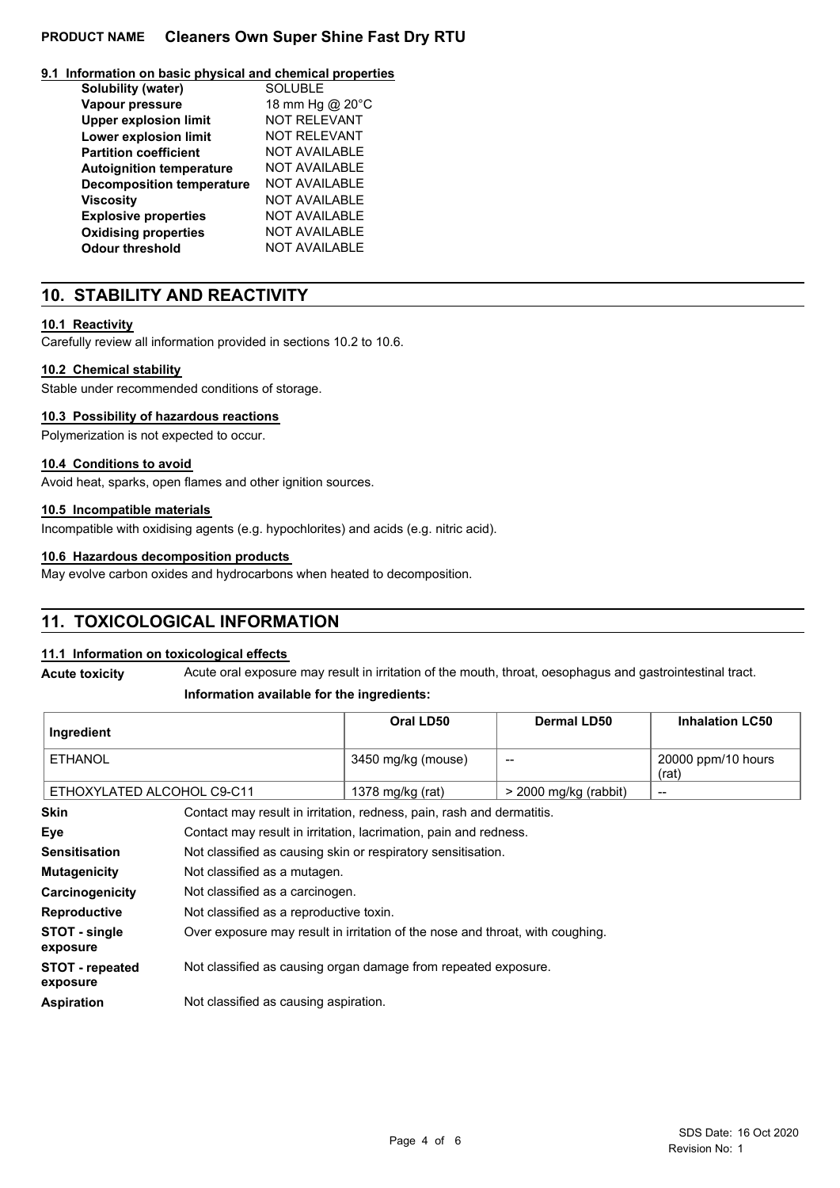## **PRODUCT NAME Cleaners Own Super Shine Fast Dry RTU**

### **9.1 Information on basic physical and chemical properties**

| Solubility (water)               | <b>SOLUBLE</b>       |
|----------------------------------|----------------------|
| Vapour pressure                  | 18 mm Hg @ 20°C      |
| <b>Upper explosion limit</b>     | <b>NOT RELEVANT</b>  |
| Lower explosion limit            | <b>NOT RELEVANT</b>  |
| <b>Partition coefficient</b>     | <b>NOT AVAILABLE</b> |
| <b>Autoignition temperature</b>  | <b>NOT AVAILABLE</b> |
| <b>Decomposition temperature</b> | NOT AVAILABLE        |
| <b>Viscosity</b>                 | <b>NOT AVAILABLE</b> |
| <b>Explosive properties</b>      | <b>NOT AVAILABLE</b> |
| <b>Oxidising properties</b>      | <b>NOT AVAILABLE</b> |
| <b>Odour threshold</b>           | <b>NOT AVAILABLE</b> |

## **10. STABILITY AND REACTIVITY**

## **10.1 Reactivity**

Carefully review all information provided in sections 10.2 to 10.6.

## **10.2 Chemical stability**

Stable under recommended conditions of storage.

## **10.3 Possibility of hazardous reactions**

Polymerization is not expected to occur.

## **10.4 Conditions to avoid**

Avoid heat, sparks, open flames and other ignition sources.

## **10.5 Incompatible materials**

Incompatible with oxidising agents (e.g. hypochlorites) and acids (e.g. nitric acid).

## **10.6 Hazardous decomposition products**

May evolve carbon oxides and hydrocarbons when heated to decomposition.

## **11. TOXICOLOGICAL INFORMATION**

## **11.1 Information on toxicological effects**

**Acute toxicity** Acute oral exposure may result in irritation of the mouth, throat, oesophagus and gastrointestinal tract.

## **Information available for the ingredients:**

| Ingredient                                                                                                 |                                                                  | Oral LD50          | Dermal LD50             | <b>Inhalation LC50</b>      |
|------------------------------------------------------------------------------------------------------------|------------------------------------------------------------------|--------------------|-------------------------|-----------------------------|
| <b>ETHANOL</b>                                                                                             |                                                                  | 3450 mg/kg (mouse) | --                      | 20000 ppm/10 hours<br>(rat) |
| ETHOXYLATED ALCOHOL C9-C11                                                                                 |                                                                  | 1378 mg/kg (rat)   | $>$ 2000 mg/kg (rabbit) | $\qquad \qquad$             |
| <b>Skin</b><br>Contact may result in irritation, redness, pain, rash and dermatitis.                       |                                                                  |                    |                         |                             |
| Eye                                                                                                        | Contact may result in irritation, lacrimation, pain and redness. |                    |                         |                             |
| <b>Sensitisation</b>                                                                                       | Not classified as causing skin or respiratory sensitisation.     |                    |                         |                             |
| <b>Mutagenicity</b>                                                                                        | Not classified as a mutagen.                                     |                    |                         |                             |
| Carcinogenicity                                                                                            | Not classified as a carcinogen.                                  |                    |                         |                             |
| <b>Reproductive</b>                                                                                        | Not classified as a reproductive toxin.                          |                    |                         |                             |
| Over exposure may result in irritation of the nose and throat, with coughing.<br>STOT - single<br>exposure |                                                                  |                    |                         |                             |
| <b>STOT</b> - ronostod                                                                                     | Not classified as causing organ damage from repeated exposure    |                    |                         |                             |

**STOT - repeated** Not classified as causing organ damage from repeated exposure. **exposure**

**Aspiration** Not classified as causing aspiration.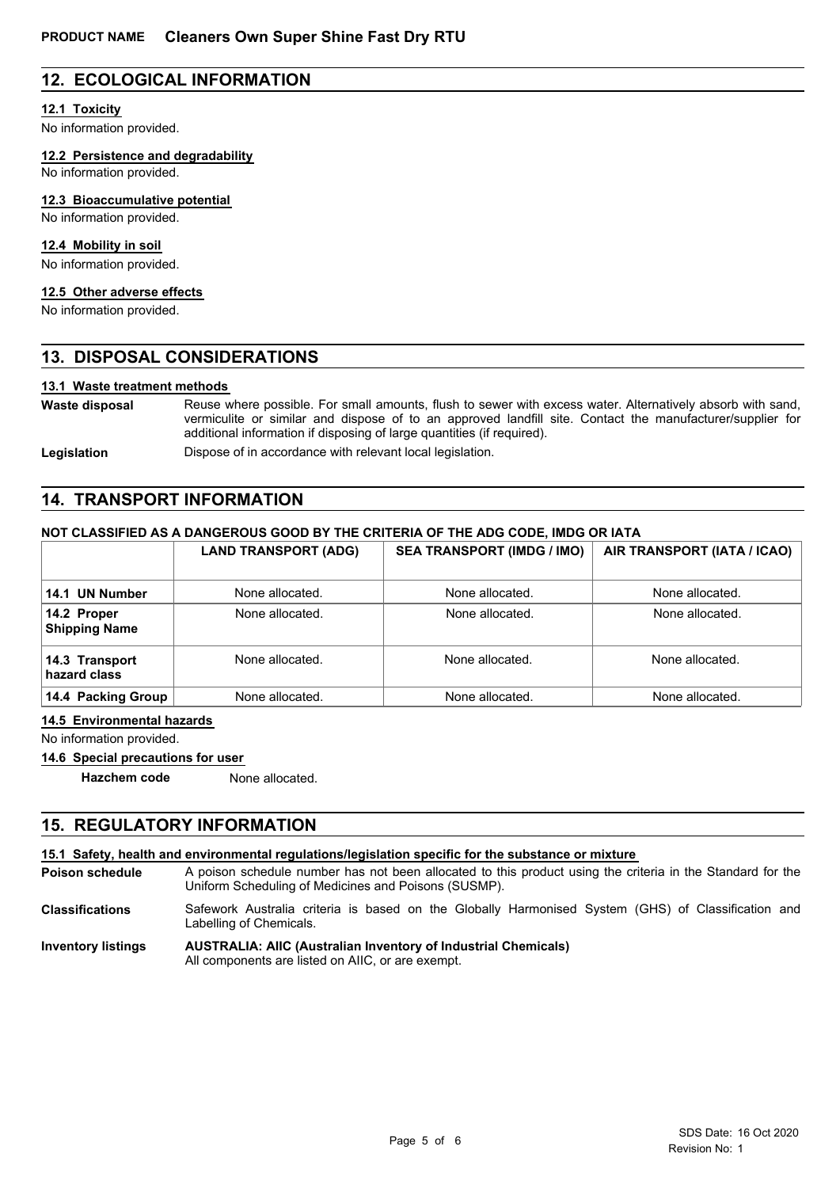## **12. ECOLOGICAL INFORMATION**

## **12.1 Toxicity**

No information provided.

**12.2 Persistence and degradability**

No information provided.

#### **12.3 Bioaccumulative potential**

No information provided.

## **12.4 Mobility in soil**

No information provided.

# **12.5 Other adverse effects**

No information provided.

## **13. DISPOSAL CONSIDERATIONS**

### **13.1 Waste treatment methods**

Reuse where possible. For small amounts, flush to sewer with excess water. Alternatively absorb with sand, vermiculite or similar and dispose of to an approved landfill site. Contact the manufacturer/supplier for additional information if disposing of large quantities (if required). **Waste disposal**

Legislation **Dispose of in accordance with relevant local legislation.** 

## **14. TRANSPORT INFORMATION**

### **NOT CLASSIFIED AS A DANGEROUS GOOD BY THE CRITERIA OF THE ADG CODE, IMDG OR IATA**

|                                     | <b>LAND TRANSPORT (ADG)</b> | <b>SEA TRANSPORT (IMDG / IMO)</b> | AIR TRANSPORT (IATA / ICAO) |
|-------------------------------------|-----------------------------|-----------------------------------|-----------------------------|
| 14.1 UN Number                      | None allocated.             | None allocated.                   | None allocated.             |
| 14.2 Proper<br><b>Shipping Name</b> | None allocated.             | None allocated.                   | None allocated.             |
| 14.3 Transport<br>hazard class      | None allocated.             | None allocated.                   | None allocated.             |
| 14.4 Packing Group                  | None allocated.             | None allocated.                   | None allocated.             |

#### **14.5 Environmental hazards**

No information provided.

#### **14.6 Special precautions for user**

**Hazchem code** None allocated.

## **15. REGULATORY INFORMATION**

#### **15.1 Safety, health and environmental regulations/legislation specific for the substance or mixture**

A poison schedule number has not been allocated to this product using the criteria in the Standard for the Uniform Scheduling of Medicines and Poisons (SUSMP). **Poison schedule**

Safework Australia criteria is based on the Globally Harmonised System (GHS) of Classification and Labelling of Chemicals. **Classifications**

#### **AUSTRALIA: AIIC (Australian Inventory of Industrial Chemicals)** All components are listed on AIIC, or are exempt. **Inventory listings**